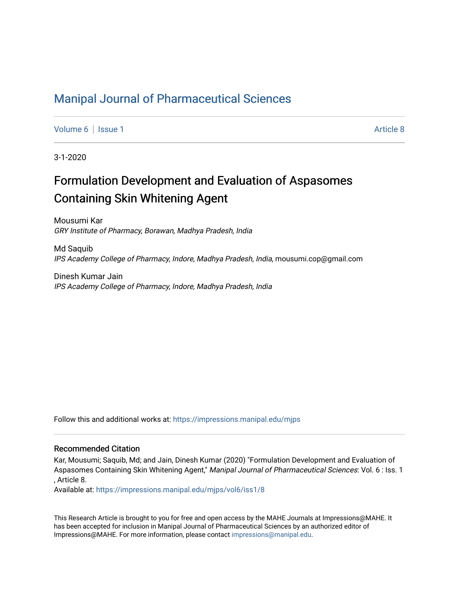## [Manipal Journal of Pharmaceutical Sciences](https://impressions.manipal.edu/mjps)

[Volume 6](https://impressions.manipal.edu/mjps/vol6) | [Issue 1](https://impressions.manipal.edu/mjps/vol6/iss1) Article 8

3-1-2020

# Formulation Development and Evaluation of Aspasomes Containing Skin Whitening Agent

Mousumi Kar GRY Institute of Pharmacy, Borawan, Madhya Pradesh, India

Md Saquib IPS Academy College of Pharmacy, Indore, Madhya Pradesh, India, mousumi.cop@gmail.com

Dinesh Kumar Jain IPS Academy College of Pharmacy, Indore, Madhya Pradesh, India

Follow this and additional works at: [https://impressions.manipal.edu/mjps](https://impressions.manipal.edu/mjps?utm_source=impressions.manipal.edu%2Fmjps%2Fvol6%2Fiss1%2F8&utm_medium=PDF&utm_campaign=PDFCoverPages)

#### Recommended Citation

Kar, Mousumi; Saquib, Md; and Jain, Dinesh Kumar (2020) "Formulation Development and Evaluation of Aspasomes Containing Skin Whitening Agent," Manipal Journal of Pharmaceutical Sciences: Vol. 6 : Iss. 1 , Article 8.

Available at: [https://impressions.manipal.edu/mjps/vol6/iss1/8](https://impressions.manipal.edu/mjps/vol6/iss1/8?utm_source=impressions.manipal.edu%2Fmjps%2Fvol6%2Fiss1%2F8&utm_medium=PDF&utm_campaign=PDFCoverPages)

This Research Article is brought to you for free and open access by the MAHE Journals at Impressions@MAHE. It has been accepted for inclusion in Manipal Journal of Pharmaceutical Sciences by an authorized editor of Impressions@MAHE. For more information, please contact [impressions@manipal.edu](mailto:impressions@manipal.edu).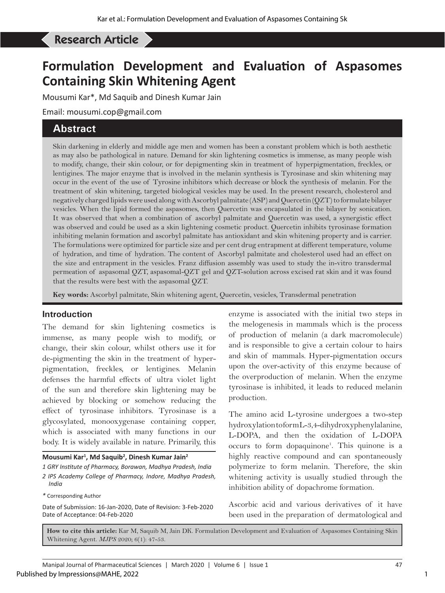# Research Article Development and Evaluation Oeses Containing Skin Whitening Skin Whitening Agent

# **Formulation Development and Evaluation of Aspasomes Containing Skin Whitening Agent**

Mousumi Kar\*, Md Saquib and Dinesh Kumar Jain

Email: mousumi.cop@gmail.com

## **Abstract**

Skin darkening in elderly and middle age men and women has been a constant problem which is both aesthetic as may also be pathological in nature. Demand for skin lightening cosmetics is immense, as many people wish to modify, change, their skin colour, or for depigmenting skin in treatment of hyperpigmentation, freckles, or lentigines. The major enzyme that is involved in the melanin synthesis is Tyrosinase and skin whitening may occur in the event of the use of Tyrosine inhibitors which decrease or block the synthesis of melanin. For the treatment of skin whitening, targeted biological vesicles may be used. In the present research, cholesterol and negatively charged lipids were used along with Ascorbyl palmitate (ASP) and Quercetin (QZT) to formulate bilayer vesicles. When the lipid formed the aspasomes, then Quercetin was encapsulated in the bilayer by sonication. It was observed that when a combination of ascorbyl palmitate and Quercetin was used, a synergistic effect was observed and could be used as a skin lightening cosmetic product. Quercetin inhibits tyrosinase formation inhibiting melanin formation and ascorbyl palmitate has antioxidant and skin whitening property and is carrier. The formulations were optimized for particle size and per cent drug entrapment at different temperature, volume of hydration, and time of hydration. The content of Ascorbyl palmitate and cholesterol used had an effect on the size and entrapment in the vesicles. Franz diffusion assembly was used to study the in-vitro transdermal permeation of aspasomal QZT, aspasomal-QZT gel and QZT-solution across excised rat skin and it was found that the results were best with the aspasomal QZT.

**Key words:** Ascorbyl palmitate, Skin whitening agent, Quercetin, vesicles, Transdermal penetration

#### **Introduction**

The demand for skin lightening cosmetics is immense, as many people wish to modify, or change, their skin colour, whilst others use it for de-pigmenting the skin in the treatment of hyperpigmentation, freckles, or lentigines. Melanin defenses the harmful effects of ultra violet light of the sun and therefore skin lightening may be achieved by blocking or somehow reducing the effect of tyrosinase inhibitors. Tyrosinase is a glycosylated, monooxygenase containing copper, which is associated with many functions in our body. It is widely available in nature. Primarily, this

**Mousumi Kar1 , Md Saquib2 , Dinesh Kumar Jain2**

*1 GRY Institute of Pharmacy, Borawan, Madhya Pradesh, India 2 IPS Academy College of Pharmacy, Indore, Madhya Pradesh, India*

*\** Corresponding Author

Date of Submission: 16-Jan-2020, Date of Revision: 3-Feb-2020 Date of Acceptance: 04-Feb-2020

enzyme is associated with the initial two steps in the melogenesis in mammals which is the process of production of melanin (a dark macromolecule) and is responsible to give a certain colour to hairs and skin of mammals. Hyper-pigmentation occurs upon the over-activity of this enzyme because of the overproduction of melanin. When the enzyme tyrosinase is inhibited, it leads to reduced melanin production.

The amino acid L-tyrosine undergoes a two-step hydroxylation to form L-3,4-dihydroxyphenylalanine, L-DOPA, and then the oxidation of L-DOPA occurs to form dopaquinone1 . This quinone is a highly reactive compound and can spontaneously polymerize to form melanin. Therefore, the skin whitening activity is usually studied through the inhibition ability of dopachrome formation.

Ascorbic acid and various derivatives of it have been used in the preparation of dermatological and

**How to cite this article:** Kar M, Saquib M, Jain DK. Formulation Development and Evaluation of Aspasomes Containing Skin Whitening Agent. *MJPS* 2020; 6(1): 47-53.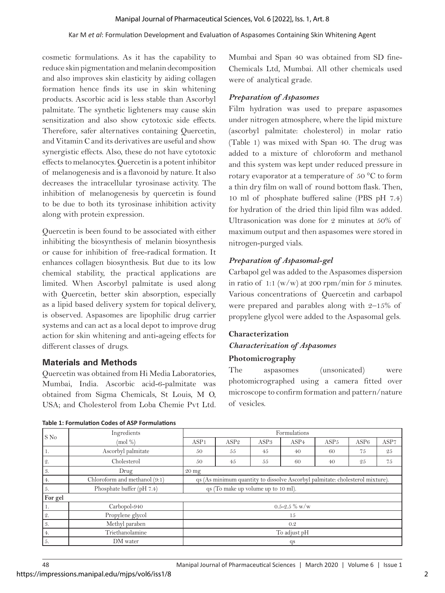cosmetic formulations. As it has the capability to reduce skin pigmentation and melanin decomposition and also improves skin elasticity by aiding collagen formation hence finds its use in skin whitening products. Ascorbic acid is less stable than Ascorbyl palmitate. The synthetic lighteners may cause skin sensitization and also show cytotoxic side effects. Therefore, safer alternatives containing Quercetin, and Vitamin C and its derivatives are useful and show synergistic effects. Also, these do not have cytotoxic effects to melanocytes. Quercetin is a potent inhibitor of melanogenesis and is a flavonoid by nature. It also decreases the intracellular tyrosinase activity. The inhibition of melanogenesis by quercetin is found to be due to both its tyrosinase inhibition activity along with protein expression.

Quercetin is been found to be associated with either inhibiting the biosynthesis of melanin biosynthesis or cause for inhibition of free-radical formation. It enhances collagen biosynthesis. But due to its low chemical stability, the practical applications are limited. When Ascorbyl palmitate is used along with Quercetin, better skin absorption, especially as a lipid based delivery system for topical delivery, is observed. Aspasomes are lipophilic drug carrier systems and can act as a local depot to improve drug action for skin whitening and anti-ageing effects for different classes of drugs.

## **Materials and Methods**

Quercetin was obtained from Hi Media Laboratories, Mumbai, India. Ascorbic acid-6-palmitate was obtained from Sigma Chemicals, St Louis, M O, USA; and Cholesterol from Loba Chemie Pvt Ltd.

https://impressions.manipal.edu/mjps/vol6/iss1/8

Mumbai and Span 40 was obtained from SD fine-Chemicals Ltd, Mumbai. All other chemicals used were of analytical grade.

## *Preparation of Aspasomes*

Film hydration was used to prepare aspasomes under nitrogen atmosphere, where the lipid mixture (ascorbyl palmitate: cholesterol) in molar ratio (Table 1) was mixed with Span 40. The drug was added to a mixture of chloroform and methanol and this system was kept under reduced pressure in rotary evaporator at a temperature of 50 °C to form a thin dry film on wall of round bottom flask. Then, 10 ml of phosphate buffered saline (PBS pH 7.4) for hydration of the dried thin lipid film was added. Ultrasonication was done for 2 minutes at 50% of maximum output and then aspasomes were stored in nitrogen-purged vials.

## *Preparation of Aspasomal-gel*

Carbapol gel was added to the Aspasomes dispersion in ratio of 1:1 (w/w) at 200 rpm/min for 5 minutes. Various concentrations of Quercetin and carbapol were prepared and parables along with 2–15% of propylene glycol were added to the Aspasomal gels.

## **Characterization** *Characterization of Aspasomes*

## **Photomicrography**

The aspasomes (unsonicated) were photomicrographed using a camera fitted over microscope to confirm formation and pattern/nature of vesicles.

| S No    | Ingredients                   | Formulations                                                                  |                  |                  |                  |                  |      |      |  |
|---------|-------------------------------|-------------------------------------------------------------------------------|------------------|------------------|------------------|------------------|------|------|--|
|         | $\pmod{%}$                    | ASP <sub>1</sub>                                                              | ASP <sub>2</sub> | ASP <sub>3</sub> | ASP <sub>4</sub> | ASP <sub>5</sub> | ASP6 | ASP7 |  |
| 1.      | Ascorbyl palmitate            | 50                                                                            | 55               | 45               | 40               | 60               | 75   | 25   |  |
| 2.      | Cholesterol                   | 50                                                                            | 45               | 55               | 60               | 40               | 25   | 75   |  |
| 3.      | Drug                          | $20 \text{ mg}$                                                               |                  |                  |                  |                  |      |      |  |
| 4.      | Chloroform and methanol (9:1) | qs (As minimum quantity to dissolve Ascorbyl palmitate: cholesterol mixture). |                  |                  |                  |                  |      |      |  |
| 5.      | Phosphate buffer (pH 7.4)     | qs (To make up volume up to 10 ml).                                           |                  |                  |                  |                  |      |      |  |
| For gel |                               |                                                                               |                  |                  |                  |                  |      |      |  |
| 1.      | Carbopol-940                  | $0.5 - 2.5\%$ w/w                                                             |                  |                  |                  |                  |      |      |  |
| 2.      | Propylene glycol              | 15                                                                            |                  |                  |                  |                  |      |      |  |
| 3.      | Methyl paraben                | 0.2                                                                           |                  |                  |                  |                  |      |      |  |
| 4.      | Triethanolamine               | To adjust pH                                                                  |                  |                  |                  |                  |      |      |  |
| 5.      | DM water                      | qs                                                                            |                  |                  |                  |                  |      |      |  |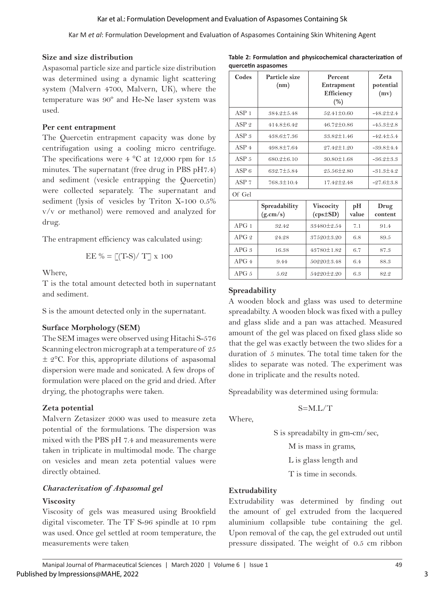#### **Size and size distribution**

Aspasomal particle size and particle size distribution was determined using a dynamic light scattering system (Malvern 4700, Malvern, UK), where the temperature was 90º and He-Ne laser system was used.

### **Per cent entrapment**

The Quercetin entrapment capacity was done by centrifugation using a cooling micro centrifuge. The specifications were  $4 \text{ °C}$  at 12,000 rpm for 15 minutes. The supernatant (free drug in PBS pH7.4) and sediment (vesicle entrapping the Quercetin) were collected separately. The supernatant and sediment (lysis of vesicles by Triton X-100 0.5% v/v or methanol) were removed and analyzed for drug.

The entrapment efficiency was calculated using:

$$
EE \% = \lfloor (T-S)/T \rfloor \ge 100
$$

Where,

T is the total amount detected both in supernatant and sediment.

S is the amount detected only in the supernatant.

## **Surface Morphology (SEM)**

The SEM images were observed using Hitachi S-576 Scanning electron micrograph at a temperature of 25  $\pm$  2°C. For this, appropriate dilutions of aspasomal dispersion were made and sonicated. A few drops of formulation were placed on the grid and dried. After drying, the photographs were taken.

## **Zeta potential**

Malvern Zetasizer 2000 was used to measure zeta potential of the formulations. The dispersion was mixed with the PBS pH 7.4 and measurements were taken in triplicate in multimodal mode. The charge on vesicles and mean zeta potential values were directly obtained.

## *Characterization of Aspasomal gel* **Viscosity**

Viscosity of gels was measured using Brookfield digital viscometer. The TF S-96 spindle at 10 rpm was used. Once gel settled at room temperature, the measurements were taken.

**Table 2: Formulation and physicochemical characterization of quercetin aspasomes**

| Codes            | Particle size<br>(nm)     | Percent<br>Entrapment<br>Efficiency<br>(%) | Zeta<br>potential<br>(mv) |                 |  |  |
|------------------|---------------------------|--------------------------------------------|---------------------------|-----------------|--|--|
| ASP <sub>1</sub> | 384.2±5.48                | 52.41±0.60                                 | $-48.2 \pm 2.4$           |                 |  |  |
| ASP <sub>2</sub> | 414.8±6.42                | $46.72 \pm 0.86$                           | $-45.3 \pm 2.8$           |                 |  |  |
| ASP <sub>3</sub> | $438.6 \pm 7.36$          | $33.82 \pm 1.46$                           |                           | $-42.4 \pm 5.4$ |  |  |
| ASP <sub>4</sub> | 498.8±7.64                | $27.42 \pm 1.20$                           |                           | $-39.8\pm4.4$   |  |  |
| ASP <sub>5</sub> | 680.2±6.10                | $30.80 \pm 1.68$                           |                           | $-36.2 \pm 3.3$ |  |  |
| ASP6             | 632.7±5.84                | $25.56 \pm 2.80$                           |                           | $-31.3 \pm 4.2$ |  |  |
| ASP <sub>7</sub> | 768.3±10.4                | 17.42 ± 2.48                               |                           | $-27.6 \pm 3.8$ |  |  |
| Of Gel           |                           |                                            |                           |                 |  |  |
|                  | Spreadability<br>(g.cm/s) | Viscocity<br>$(cps \pm SD)$                | pH<br>value               | Drug<br>content |  |  |
| APG1             | 32.42                     | 33480±2.54                                 | 7.1                       | 91.4            |  |  |
| APG2             | 24.28                     | 37520±3.20                                 | 6.8                       | 89.5            |  |  |
| APG.3            | 16.38                     | 43780±1.82                                 | 6.7                       | 87.3            |  |  |
| APG4             | 9.44                      | $50220 \pm 3.48$                           | 6.4                       | 88.3            |  |  |
| APG <sub>5</sub> | 5.62                      | 54220±2.20                                 | 6.3                       | 82.2            |  |  |

## **Spreadability**

A wooden block and glass was used to determine spreadabilty. A wooden block was fixed with a pulley and glass slide and a pan was attached. Measured amount of the gel was placed on fixed glass slide so that the gel was exactly between the two slides for a duration of 5 minutes. The total time taken for the slides to separate was noted. The experiment was done in triplicate and the results noted.

Spreadability was determined using formula:

## S=M.L/T

Where,

S is spreadabilty in gm-cm/sec,

M is mass in grams,

L is glass length and

T is time in seconds.

## **Extrudability**

Extrudability was determined by finding out the amount of gel extruded from the lacquered aluminium collapsible tube containing the gel. Upon removal of the cap, the gel extruded out until pressure dissipated. The weight of 0.5 cm ribbon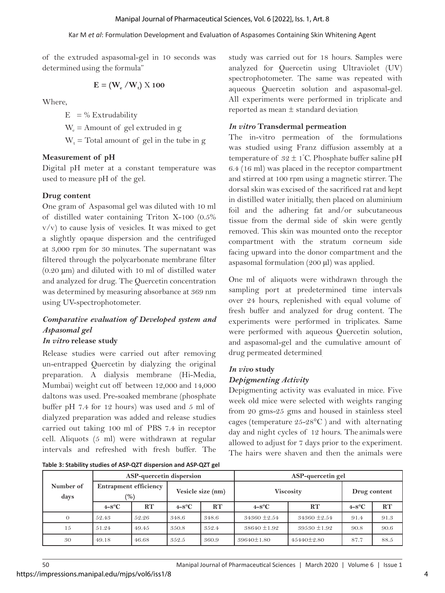of the extruded aspasomal-gel in 10 seconds was determined using the formula"

$$
E = (W_e / W_t) \times 100
$$

Where,

 $E = %$  Extrudability

 $W_e$  = Amount of gel extruded in g

 $W_t$  = Total amount of gel in the tube in g

#### **Measurement of pH**

Digital pH meter at a constant temperature was used to measure pH of the gel.

#### **Drug content**

One gram of Aspasomal gel was diluted with 10 ml of distilled water containing Triton X-100 (0.5%  $v/v$ ) to cause lysis of vesicles. It was mixed to get a slightly opaque dispersion and the centrifuged at 3,000 rpm for 30 minutes. The supernatant was filtered through the polycarbonate membrane filter  $(0.20 \mu m)$  and diluted with 10 ml of distilled water and analyzed for drug. The Quercetin concentration was determined by measuring absorbance at 369 nm using UV-spectrophotometer.

## *Comparative evaluation of Developed system and Aspasomal gel*

## *In vitro* **release study**

Release studies were carried out after removing un-entrapped Quercetin by dialyzing the original preparation. A dialysis membrane (Hi-Media, Mumbai) weight cut off between 12,000 and 14,000 daltons was used. Pre-soaked membrane (phosphate buffer pH 7.4 for 12 hours) was used and 5 ml of dialyzed preparation was added and release studies carried out taking 100 ml of PBS 7.4 in receptor cell. Aliquots (5 ml) were withdrawn at regular intervals and refreshed with fresh buffer. The

study was carried out for 18 hours. Samples were analyzed for Quercetin using Ultraviolet (UV) spectrophotometer. The same was repeated with aqueous Quercetin solution and aspasomal-gel. All experiments were performed in triplicate and reported as mean ± standard deviation.

#### *In vitro* **Transdermal permeation**

The in-vitro permeation of the formulations was studied using Franz diffusion assembly at a temperature of  $32 \pm 1^{\circ}$ C. Phosphate buffer saline pH 6.4 (16 ml) was placed in the receptor compartment and stirred at 100 rpm using a magnetic stirrer. The dorsal skin was excised of the sacrificed rat and kept in distilled water initially, then placed on aluminium foil and the adhering fat and/or subcutaneous tissue from the dermal side of skin were gently removed. This skin was mounted onto the receptor compartment with the stratum corneum side facing upward into the donor compartment and the aspasomal formulation (200 µl) was applied.

One ml of aliquots were withdrawn through the sampling port at predetermined time intervals over 24 hours, replenished with equal volume of fresh buffer and analyzed for drug content. The experiments were performed in triplicates. Same were performed with aqueous Quercetin solution, and aspasomal-gel and the cumulative amount of drug permeated determined.

## *In vivo* **study**

### *Depigmenting Activity*

Depigmenting activity was evaluated in mice. Five week old mice were selected with weights ranging from 20 gms-25 gms and housed in stainless steel cages (temperature 25-28°C ) and with alternating day and night cycles of 12 hours. The animals were allowed to adjust for 7 days prior to the experiment. The hairs were shaven and then the animals were

**Table 3: Stability studies of ASP-QZT dispersion and ASP-QZT gel**

|                   | ASP-quercetin dispersion            |       |                   |       | ASP-quercetin gel |                  |                  |      |  |
|-------------------|-------------------------------------|-------|-------------------|-------|-------------------|------------------|------------------|------|--|
| Number of<br>days | <b>Entrapment efficiency</b><br>(%) |       | Vesicle size (nm) |       | <b>Viscosity</b>  | Drug content     |                  |      |  |
|                   | $4 - 8^{\circ}C$                    | RT    | $4 - 8^{\circ}C$  | RT    | $4 - 8^{\circ}C$  | RT               | $4 - 8^{\circ}C$ | RT   |  |
|                   | 52.43                               | 52.26 | 348.6             | 348.6 | $34360 \pm 2.54$  | $34360 \pm 2.54$ | 91.4             | 91.3 |  |
| 15                | 51.24                               | 49.45 | 350.8             | 352.4 | $38640 \pm 1.92$  | $39530 \pm 1.92$ | 90.8             | 90.6 |  |
| 30                | 49.18                               | 46.68 | 352.5             | 360.9 | $39640 \pm 1.80$  | $45440 \pm 2.80$ | 87.7             | 88.5 |  |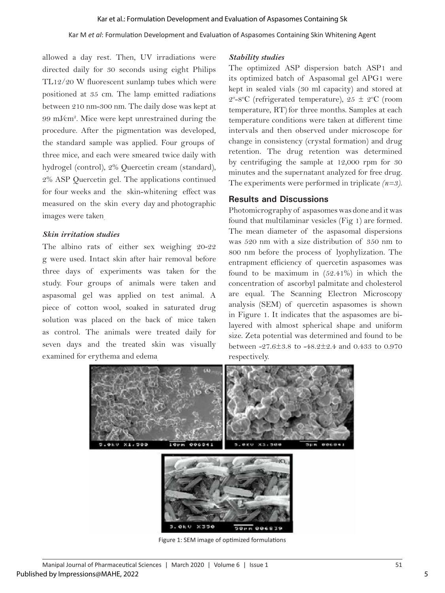allowed a day rest. Then, UV irradiations were directed daily for 30 seconds using eight Philips TL12/20 W fluorescent sunlamp tubes which were positioned at 35 cm. The lamp emitted radiations between 210 nm-300 nm. The daily dose was kept at 99 mJ⁄cm2 . Mice were kept unrestrained during the procedure. After the pigmentation was developed, the standard sample was applied. Four groups of three mice, and each were smeared twice daily with hydrogel (control), 2% Quercetin cream (standard), 2% ASP Quercetin gel. The applications continued for four weeks and the skin-whitening effect was measured on the skin every day and photographic images were taken.

#### *Skin irritation studies*

The albino rats of either sex weighing 20-22 g were used. Intact skin after hair removal before three days of experiments was taken for the study. Four groups of animals were taken and aspasomal gel was applied on test animal. A piece of cotton wool, soaked in saturated drug solution was placed on the back of mice taken as control. The animals were treated daily for seven days and the treated skin was visually examined for erythema and edema.

#### *Stability studies*

The optimized ASP dispersion batch ASP1 and its optimized batch of Aspasomal gel APG1 were kept in sealed vials (30 ml capacity) and stored at 2°-8°C (refrigerated temperature),  $25 \pm 2$ °C (room temperature, RT) for three months. Samples at each temperature conditions were taken at different time intervals and then observed under microscope for change in consistency (crystal formation) and drug retention. The drug retention was determined by centrifuging the sample at 12,000 rpm for 30 minutes and the supernatant analyzed for free drug. The experiments were performed in triplicate *(n=3)*.

#### **Results and Discussions**

Photomicrography of aspasomes was done and it was found that multilaminar vesicles (Fig 1) are formed. The mean diameter of the aspasomal dispersions was 520 nm with a size distribution of 350 nm to 800 nm before the process of lyophylization. The entrapment efficiency of quercetin aspasomes was found to be maximum in (52.41%) in which the concentration of ascorbyl palmitate and cholesterol are equal. The Scanning Electron Microscopy analysis (SEM) of quercetin aspasomes is shown in Figure 1. It indicates that the aspasomes are bilayered with almost spherical shape and uniform size. Zeta potential was determined and found to be between -27.6±3.8 to -48.2±2.4 and 0.433 to 0.970 respectively.



Figure 1: SEM image of optimized formulations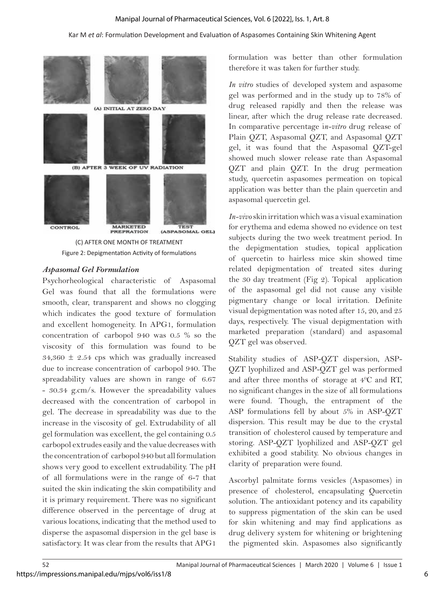#### Manipal Journal of Pharmaceutical Sciences, Vol. 6 [2022], Iss. 1, Art. 8

#### Kar M *et al*: Formulation Development and Evaluation of Aspasomes Containing Skin Whitening Agent



Figure 2: Depigmentation Activity of formulations

#### *Aspasomal Gel Formulation*

Psychorheological characteristic of Aspasomal Gel was found that all the formulations were smooth, clear, transparent and shows no clogging which indicates the good texture of formulation and excellent homogeneity. In APG1, formulation concentration of carbopol 940 was 0.5 % so the viscosity of this formulation was found to be  $34,360 \pm 2.54$  cps which was gradually increased due to increase concentration of carbopol 940. The spreadability values are shown in range of 6.67 - 30.34 g.cm/s. However the spreadability values decreased with the concentration of carbopol in gel. The decrease in spreadability was due to the increase in the viscosity of gel. Extrudability of all gel formulation was excellent, the gel containing 0.5 carbopol extrudes easily and the value decreases with the concentration of carbopol 940 but all formulation shows very good to excellent extrudability. The pH of all formulations were in the range of 6-7 that suited the skin indicating the skin compatibility and it is primary requirement. There was no significant difference observed in the percentage of drug at various locations, indicating that the method used to disperse the aspasomal dispersion in the gel base is satisfactory. It was clear from the results that APG1

formulation was better than other formulation therefore it was taken for further study.

*In vitro* studies of developed system and aspasome gel was performed and in the study up to 78% of drug released rapidly and then the release was linear, after which the drug release rate decreased. In comparative percentage i*n-vitro* drug release of Plain QZT, Aspasomal QZT, and Aspasomal QZT gel, it was found that the Aspasomal QZT-gel showed much slower release rate than Aspasomal QZT and plain QZT. In the drug permeation study, quercetin aspasomes permeation on topical application was better than the plain quercetin and aspasomal quercetin gel.

*In-vivo* skin irritation which was a visual examination for erythema and edema showed no evidence on test subjects during the two week treatment period. In the depigmentation studies, topical application of quercetin to hairless mice skin showed time related depigmentation of treated sites during the 30 day treatment (Fig 2). Topical application of the aspasomal gel did not cause any visible pigmentary change or local irritation. Definite visual depigmentation was noted after 15, 20, and 25 days, respectively. The visual depigmentation with marketed preparation (standard) and aspasomal QZT gel was observed.

Stability studies of ASP-QZT dispersion, ASP-QZT lyophilized and ASP-QZT gel was performed and after three months of storage at 40 C and RT, no significant changes in the size of all formulations were found. Though, the entrapment of the ASP formulations fell by about 5% in ASP-QZT dispersion. This result may be due to the crystal transition of cholesterol caused by temperature and storing. ASP-QZT lyophilized and ASP-QZT gel exhibited a good stability. No obvious changes in clarity of preparation were found.

Ascorbyl palmitate forms vesicles (Aspasomes) in presence of cholesterol, encapsulating Quercetin solution. The antioxidant potency and its capability to suppress pigmentation of the skin can be used for skin whitening and may find applications as drug delivery system for whitening or brightening the pigmented skin. Aspasomes also significantly